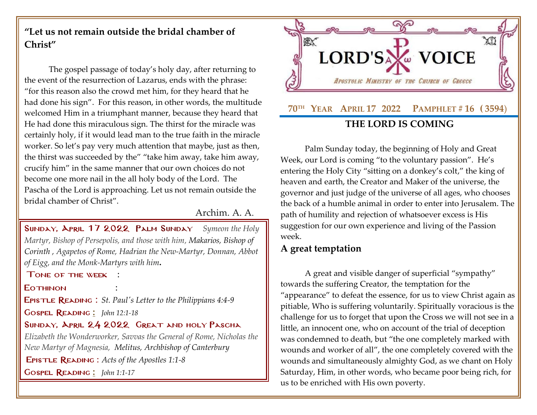# **"Let us not remain outside the bridal chamber of Christ"**

The gospel passage of today's holy day, after returning to the event of the resurrection of Lazarus, ends with the phrase: "for this reason also the crowd met him, for they heard that he had done his sign". For this reason, in other words, the multitude welcomed Him in a triumphant manner, because they heard that He had done this miraculous sign. The thirst for the miracle was certainly holy, if it would lead man to the true faith in the miracle worker. So let's pay very much attention that maybe, just as then, the thirst was succeeded by the" "take him away, take him away, crucify him" in the same manner that our own choices do not become one more nail in the all holy body of the Lord. The Pascha of the Lord is approaching. Let us not remain outside the bridal chamber of Christ".

### Archim. A. A.

Sunday, April 17 2022 [Palm Sunday](http://www.goarch.org/chapel/saints?contentid=1016&PCode=MEATS&D=S&date=02/27/2022) *[Symeon the Holy](http://www.goarch.org/chapel/saints?contentid=13)  [Martyr, Bishop of Persepolis, and those with him, Makarios, Bishop of](http://www.goarch.org/chapel/saints?contentid=13)  [Corinth](http://www.goarch.org/chapel/saints?contentid=23) , Agapetos of Rome, Hadrian the New-Martyr, Donnan, Abbot [of Eigg, and the Monk-Martyrs with him](http://www.goarch.org/chapel/saints?contentid=13)***.**

[T](http://www.goarch.org/chapel/saints?contentid=13)one of the week :

#### **EOTHINON**

Epistle Reading : *[St. Paul's Letter to the Philippians 4:4-9](http://www.goarch.org/chapel/lectionary?type=E&code=147&event=928&date=04/17/2022)*

Gospel Reading **[:](http://www.goarch.org/chapel/lectionary?type=G&code=362&event=218)** *[John 12:1-18](http://www.goarch.org/chapel/lectionary?type=G&code=300&event=900)*

## SUNDAY, APRIL 24 2022 GREAT AND HOLY PASCHA

*[Elizabeth the Wonderworker, Savvas the](http://www.goarch.org/chapel/saints?contentid=13) General of Rome, Nicholas the [New Martyr of Magnesia, Melitus, Archbishop of Canterbury](http://www.goarch.org/chapel/saints?contentid=13)*

[E](http://www.goarch.org/chapel/saints?contentid=13)pistle Reading : *[Acts of the Apostles 1:1-8](http://www.goarch.org/chapel/lectionary?type=E&code=3&event=1009&date=04/24/2022)*

Gospel Reading **[:](http://www.goarch.org/chapel/lectionary?type=G&code=362&event=218)** *[John 1:1-17](http://www.goarch.org/chapel/lectionary?type=G&code=300&event=900)*



Palm Sunday today, the beginning of Holy and Great Week, our Lord is coming "to the voluntary passion". He's entering the Holy City "sitting on a donkey's colt," the king of heaven and earth, the Creator and Maker of the universe, the governor and just judge of the universe of all ages, who chooses the back of a humble animal in order to enter into Jerusalem. The path of humility and rejection of whatsoever excess is His suggestion for our own experience and living of the Passion week.

# **A great temptation**

A great and visible danger of superficial "sympathy" towards the suffering Creator, the temptation for the "appearance" to defeat the essence, for us to view Christ again as pitiable, Who is suffering voluntarily. Spiritually voracious is the challenge for us to forget that upon the Cross we will not see in a little, an innocent one, who on account of the trial of deception was condemned to death, but "the one completely marked with wounds and worker of all", the one completely covered with the wounds and simultaneously almighty God, as we chant on Holy Saturday, Him, in other words, who became poor being rich, for us to be enriched with His own poverty.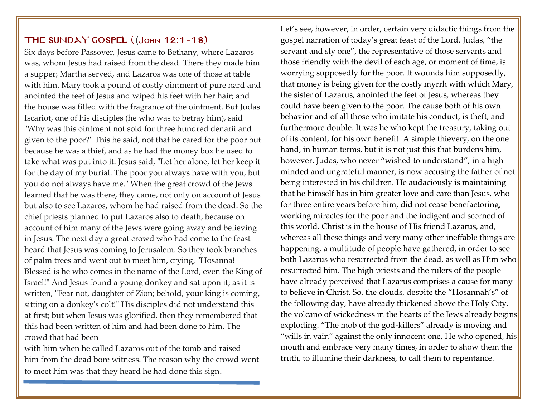#### THE SUNDAY GOSPEL ((John 12:1-18)

Six days before Passover, Jesus came to Bethany, where Lazaros was, whom Jesus had raised from the dead. There they made him a supper; Martha served, and Lazaros was one of those at table with him. Mary took a pound of costly ointment of pure nard and anointed the feet of Jesus and wiped his feet with her hair; and the house was filled with the fragrance of the ointment. But Judas Iscariot, one of his disciples (he who was to betray him), said "Why was this ointment not sold for three hundred denarii and given to the poor?" This he said, not that he cared for the poor but because he was a thief, and as he had the money box he used to take what was put into it. Jesus said, "Let her alone, let her keep it for the day of my burial. The poor you always have with you, but you do not always have me." When the great crowd of the Jews learned that he was there, they came, not only on account of Jesus but also to see Lazaros, whom he had raised from the dead. So the chief priests planned to put Lazaros also to death, because on account of him many of the Jews were going away and believing in Jesus. The next day a great crowd who had come to the feast heard that Jesus was coming to Jerusalem. So they took branches of palm trees and went out to meet him, crying, "Hosanna! Blessed is he who comes in the name of the Lord, even the King of Israel!" And Jesus found a young donkey and sat upon it; as it is written, "Fear not, daughter of Zion; behold, your king is coming, sitting on a donkey's colt!" His disciples did not understand this at first; but when Jesus was glorified, then they remembered that this had been written of him and had been done to him. The crowd that had been

with him when he called Lazaros out of the tomb and raised him from the dead bore witness. The reason why the crowd went to meet him was that they heard he had done this sign.

Let's see, however, in order, certain very didactic things from the gospel narration of today's great feast of the Lord. Judas, "the servant and sly one", the representative of those servants and those friendly with the devil of each age, or moment of time, is worrying supposedly for the poor. It wounds him supposedly, that money is being given for the costly myrrh with which Mary, the sister of Lazarus, anointed the feet of Jesus, whereas they could have been given to the poor. The cause both of his own behavior and of all those who imitate his conduct, is theft, and furthermore double. It was he who kept the treasury, taking out of its content, for his own benefit. A simple thievery, on the one hand, in human terms, but it is not just this that burdens him, however. Judas, who never "wished to understand", in a high minded and ungrateful manner, is now accusing the father of not being interested in his children. He audaciously is maintaining that he himself has in him greater love and care than Jesus, who for three entire years before him, did not cease benefactoring, working miracles for the poor and the indigent and scorned of this world. Christ is in the house of His friend Lazarus, and, whereas all these things and very many other ineffable things are happening, a multitude of people have gathered, in order to see both Lazarus who resurrected from the dead, as well as Him who resurrected him. The high priests and the rulers of the people have already perceived that Lazarus comprises a cause for many to believe in Christ. So, the clouds, despite the "Hosannah's" of the following day, have already thickened above the Holy City, the volcano of wickedness in the hearts of the Jews already begins exploding. "The mob of the god-killers" already is moving and "wills in vain" against the only innocent one, He who opened, his mouth and embrace very many times, in order to show them the truth, to illumine their darkness, to call them to repentance.